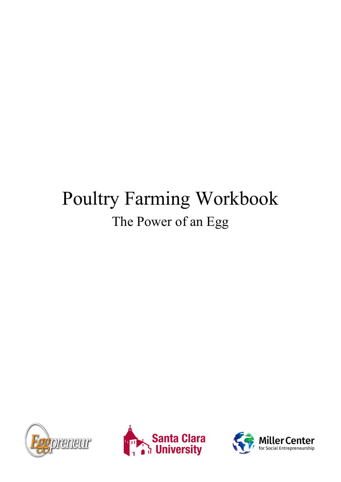# Poultry Farming Workbook The Power of an Egg





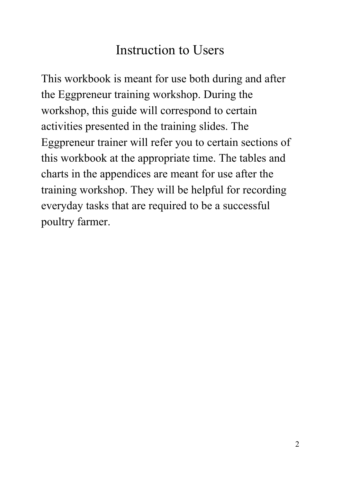## Instruction to Users

This workbook is meant for use both during and after the Eggpreneur training workshop. During the workshop, this guide will correspond to certain activities presented in the training slides. The Eggpreneur trainer will refer you to certain sections of this workbook at the appropriate time. The tables and charts in the appendices are meant for use after the training workshop. They will be helpful for recording everyday tasks that are required to be a successful poultry farmer.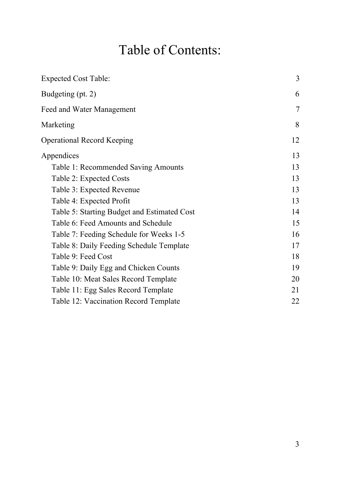# Table of Contents:

<span id="page-2-0"></span>

| <b>Expected Cost Table:</b>                 | 3  |
|---------------------------------------------|----|
| Budgeting (pt. 2)                           | 6  |
| Feed and Water Management                   | 7  |
| Marketing                                   | 8  |
| <b>Operational Record Keeping</b>           | 12 |
| Appendices                                  | 13 |
| Table 1: Recommended Saving Amounts         | 13 |
| Table 2: Expected Costs                     | 13 |
| Table 3: Expected Revenue                   | 13 |
| Table 4: Expected Profit                    | 13 |
| Table 5: Starting Budget and Estimated Cost | 14 |
| Table 6: Feed Amounts and Schedule          | 15 |
| Table 7: Feeding Schedule for Weeks 1-5     | 16 |
| Table 8: Daily Feeding Schedule Template    | 17 |
| Table 9: Feed Cost                          | 18 |
| Table 9: Daily Egg and Chicken Counts       | 19 |
| Table 10: Meat Sales Record Template        | 20 |
| Table 11: Egg Sales Record Template         | 21 |
| Table 12: Vaccination Record Template       | 22 |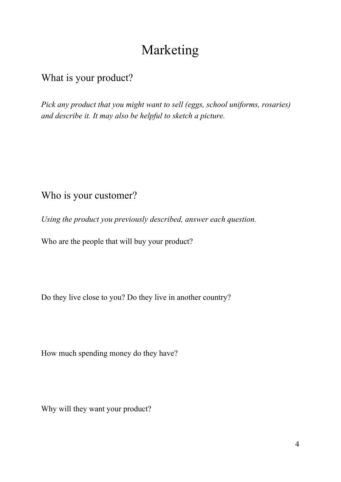### Marketing

#### <span id="page-3-0"></span>What is your product?

*Pick any product that you might want to sell (eggs, school uniforms, rosaries) and describe it. It may also be helpful to sketch a picture.*

#### Who is your customer?

*Using the product you previously described, answer each question.*

Who are the people that will buy your product?

Do they live close to you? Do they live in another country?

How much spending money do they have?

Why will they want your product?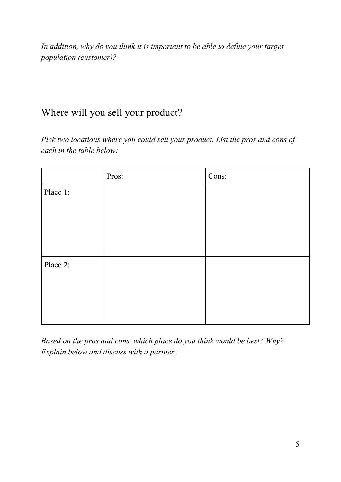*In addition, why do you think it is important to be able to define your target population (customer)?*

#### Where will you sell your product?

*Pick two locations where you could sell your product. List the pros and cons of each in the table below:*

|          | Pros: | Cons: |
|----------|-------|-------|
| Place 1: |       |       |
|          |       |       |
|          |       |       |
|          |       |       |
|          |       |       |
| Place 2: |       |       |
|          |       |       |
|          |       |       |
|          |       |       |
|          |       |       |

*Based on the pros and cons, which place do you think would be best? Why? Explain below and discuss with a partner.*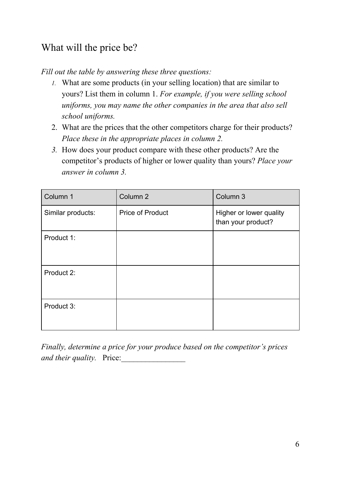### What will the price be?

*Fill out the table by answering these three questions:*

- *1.* What are some products (in your selling location) that are similar to yours? List them in column 1. *For example, if you were selling school uniforms, you may name the other companies in the area that also sell school uniforms.*
- 2. What are the prices that the other competitors charge for their products? *Place these in the appropriate places in column 2.*
- *3.* How does your product compare with these other products? Are the competitor's products of higher or lower quality than yours? *Place your answer in column 3.*

| Column 1          | Column <sub>2</sub>     | Column 3                                      |
|-------------------|-------------------------|-----------------------------------------------|
| Similar products: | <b>Price of Product</b> | Higher or lower quality<br>than your product? |
| Product 1:        |                         |                                               |
| Product 2:        |                         |                                               |
| Product 3:        |                         |                                               |

*Finally, determine a price for your produce based on the competitor's prices and their quality.* Price: